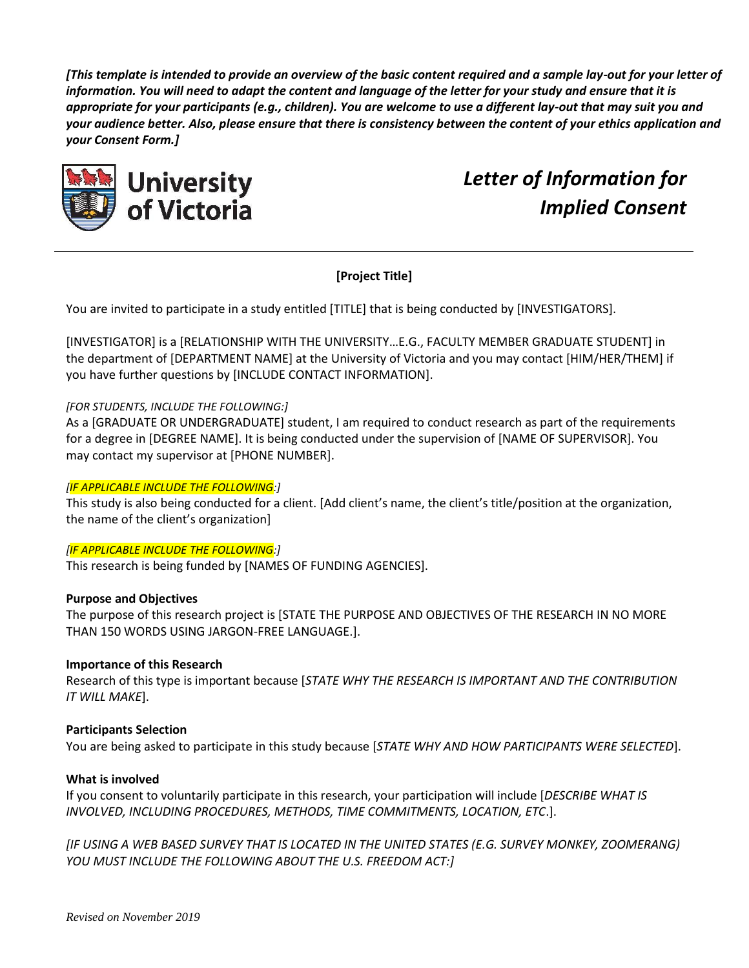*[This template is intended to provide an overview of the basic content required and a sample lay-out for your letter of information. You will need to adapt the content and language of the letter for your study and ensure that it is appropriate for your participants (e.g., children). You are welcome to use a different lay-out that may suit you and your audience better. Also, please ensure that there is consistency between the content of your ethics application and your Consent Form.]*



*Letter of Information for Implied Consent*

# **[Project Title]**

You are invited to participate in a study entitled [TITLE] that is being conducted by [INVESTIGATORS].

[INVESTIGATOR] is a [RELATIONSHIP WITH THE UNIVERSITY…E.G., FACULTY MEMBER GRADUATE STUDENT] in the department of [DEPARTMENT NAME] at the University of Victoria and you may contact [HIM/HER/THEM] if you have further questions by [INCLUDE CONTACT INFORMATION].

# *[FOR STUDENTS, INCLUDE THE FOLLOWING:]*

As a [GRADUATE OR UNDERGRADUATE] student, I am required to conduct research as part of the requirements for a degree in [DEGREE NAME]. It is being conducted under the supervision of [NAME OF SUPERVISOR]. You may contact my supervisor at [PHONE NUMBER].

#### *[IF APPLICABLE INCLUDE THE FOLLOWING:]*

This study is also being conducted for a client. [Add client's name, the client's title/position at the organization, the name of the client's organization]

#### *[IF APPLICABLE INCLUDE THE FOLLOWING:]*

This research is being funded by [NAMES OF FUNDING AGENCIES].

#### **Purpose and Objectives**

The purpose of this research project is [STATE THE PURPOSE AND OBJECTIVES OF THE RESEARCH IN NO MORE THAN 150 WORDS USING JARGON-FREE LANGUAGE.].

# **Importance of this Research**

Research of this type is important because [*STATE WHY THE RESEARCH IS IMPORTANT AND THE CONTRIBUTION IT WILL MAKE*].

#### **Participants Selection**

You are being asked to participate in this study because [*STATE WHY AND HOW PARTICIPANTS WERE SELECTED*].

#### **What is involved**

If you consent to voluntarily participate in this research, your participation will include [*DESCRIBE WHAT IS INVOLVED, INCLUDING PROCEDURES, METHODS, TIME COMMITMENTS, LOCATION, ETC*.].

*[IF USING A WEB BASED SURVEY THAT IS LOCATED IN THE UNITED STATES (E.G. SURVEY MONKEY, ZOOMERANG) YOU MUST INCLUDE THE FOLLOWING ABOUT THE U.S. FREEDOM ACT:]*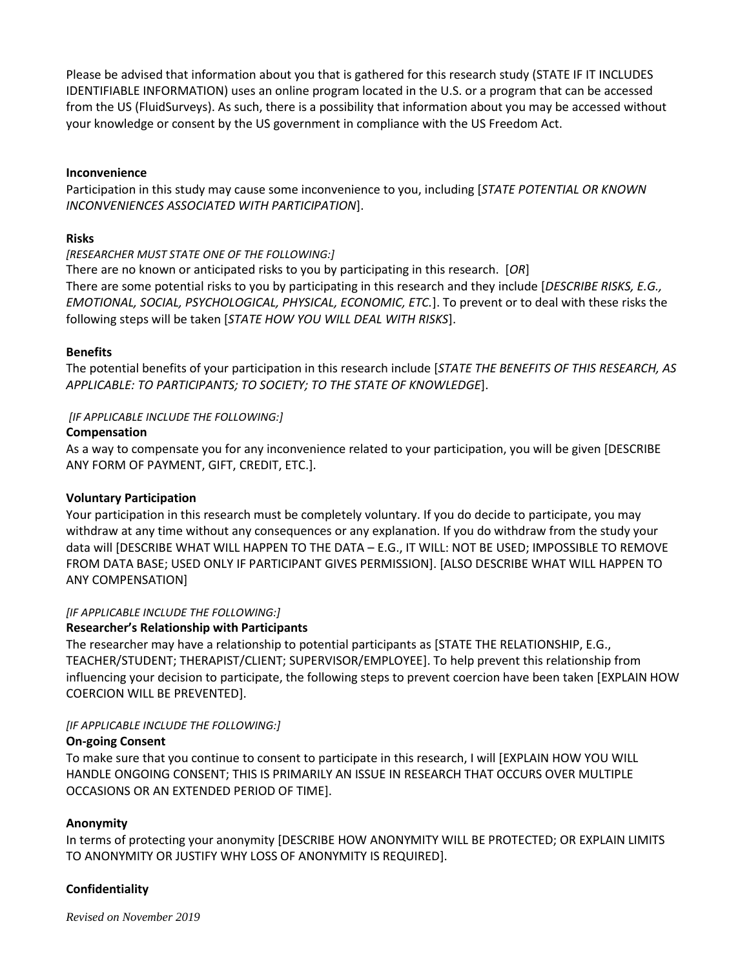Please be advised that information about you that is gathered for this research study (STATE IF IT INCLUDES IDENTIFIABLE INFORMATION) uses an online program located in the U.S. or a program that can be accessed from the US (FluidSurveys). As such, there is a possibility that information about you may be accessed without your knowledge or consent by the US government in compliance with the US Freedom Act.

### **Inconvenience**

Participation in this study may cause some inconvenience to you, including [*STATE POTENTIAL OR KNOWN INCONVENIENCES ASSOCIATED WITH PARTICIPATION*].

#### **Risks**

#### *[RESEARCHER MUST STATE ONE OF THE FOLLOWING:]*

There are no known or anticipated risks to you by participating in this research. [*OR*] There are some potential risks to you by participating in this research and they include [*DESCRIBE RISKS, E.G., EMOTIONAL, SOCIAL, PSYCHOLOGICAL, PHYSICAL, ECONOMIC, ETC.*]. To prevent or to deal with these risks the following steps will be taken [*STATE HOW YOU WILL DEAL WITH RISKS*].

#### **Benefits**

The potential benefits of your participation in this research include [*STATE THE BENEFITS OF THIS RESEARCH, AS APPLICABLE: TO PARTICIPANTS; TO SOCIETY; TO THE STATE OF KNOWLEDGE*].

#### *[IF APPLICABLE INCLUDE THE FOLLOWING:]*

#### **Compensation**

As a way to compensate you for any inconvenience related to your participation, you will be given [DESCRIBE ANY FORM OF PAYMENT, GIFT, CREDIT, ETC.].

# **Voluntary Participation**

Your participation in this research must be completely voluntary. If you do decide to participate, you may withdraw at any time without any consequences or any explanation. If you do withdraw from the study your data will [DESCRIBE WHAT WILL HAPPEN TO THE DATA – E.G., IT WILL: NOT BE USED; IMPOSSIBLE TO REMOVE FROM DATA BASE; USED ONLY IF PARTICIPANT GIVES PERMISSION]. [ALSO DESCRIBE WHAT WILL HAPPEN TO ANY COMPENSATION]

# *[IF APPLICABLE INCLUDE THE FOLLOWING:]*

# **Researcher's Relationship with Participants**

The researcher may have a relationship to potential participants as [STATE THE RELATIONSHIP, E.G., TEACHER/STUDENT; THERAPIST/CLIENT; SUPERVISOR/EMPLOYEE]. To help prevent this relationship from influencing your decision to participate, the following steps to prevent coercion have been taken [EXPLAIN HOW COERCION WILL BE PREVENTED].

#### *[IF APPLICABLE INCLUDE THE FOLLOWING:]*

#### **On-going Consent**

To make sure that you continue to consent to participate in this research, I will [EXPLAIN HOW YOU WILL HANDLE ONGOING CONSENT; THIS IS PRIMARILY AN ISSUE IN RESEARCH THAT OCCURS OVER MULTIPLE OCCASIONS OR AN EXTENDED PERIOD OF TIME].

# **Anonymity**

In terms of protecting your anonymity [DESCRIBE HOW ANONYMITY WILL BE PROTECTED; OR EXPLAIN LIMITS TO ANONYMITY OR JUSTIFY WHY LOSS OF ANONYMITY IS REQUIRED].

# **Confidentiality**

*Revised on November 2019*